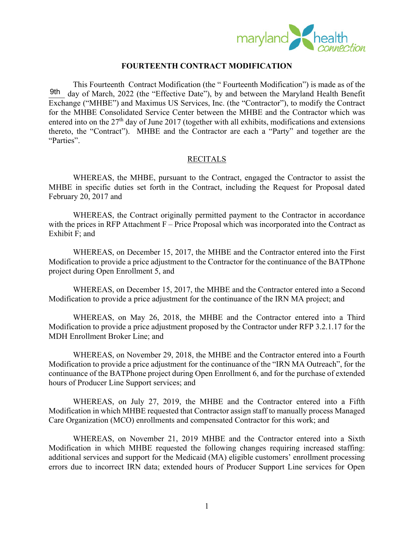

## **FOURTEENTH CONTRACT MODIFICATION**

This Fourteenth Contract Modification (the " Fourteenth Modification") is made as of the day of March, 2022 (the "Effective Date"), by and between the Maryland Health Benefit Exchange ("MHBE") and Maximus US Services, Inc. (the "Contractor"), to modify the Contract for the MHBE Consolidated Service Center between the MHBE and the Contractor which was entered into on the 27<sup>th</sup> day of June 2017 (together with all exhibits, modifications and extensions thereto, the "Contract"). MHBE and the Contractor are each a "Party" and together are the "Parties". 9th

## RECITALS

 WHEREAS, the MHBE, pursuant to the Contract, engaged the Contractor to assist the MHBE in specific duties set forth in the Contract, including the Request for Proposal dated February 20, 2017 and

WHEREAS, the Contract originally permitted payment to the Contractor in accordance with the prices in RFP Attachment  $F -$  Price Proposal which was incorporated into the Contract as Exhibit F; and

WHEREAS, on December 15, 2017, the MHBE and the Contractor entered into the First Modification to provide a price adjustment to the Contractor for the continuance of the BATPhone project during Open Enrollment 5, and

WHEREAS, on December 15, 2017, the MHBE and the Contractor entered into a Second Modification to provide a price adjustment for the continuance of the IRN MA project; and

WHEREAS, on May 26, 2018, the MHBE and the Contractor entered into a Third Modification to provide a price adjustment proposed by the Contractor under RFP 3.2.1.17 for the MDH Enrollment Broker Line; and

WHEREAS, on November 29, 2018, the MHBE and the Contractor entered into a Fourth Modification to provide a price adjustment for the continuance of the "IRN MA Outreach", for the continuance of the BATPhone project during Open Enrollment 6, and for the purchase of extended hours of Producer Line Support services; and

WHEREAS, on July 27, 2019, the MHBE and the Contractor entered into a Fifth Modification in which MHBE requested that Contractor assign staff to manually process Managed Care Organization (MCO) enrollments and compensated Contractor for this work; and

WHEREAS, on November 21, 2019 MHBE and the Contractor entered into a Sixth Modification in which MHBE requested the following changes requiring increased staffing: additional services and support for the Medicaid (MA) eligible customers' enrollment processing errors due to incorrect IRN data; extended hours of Producer Support Line services for Open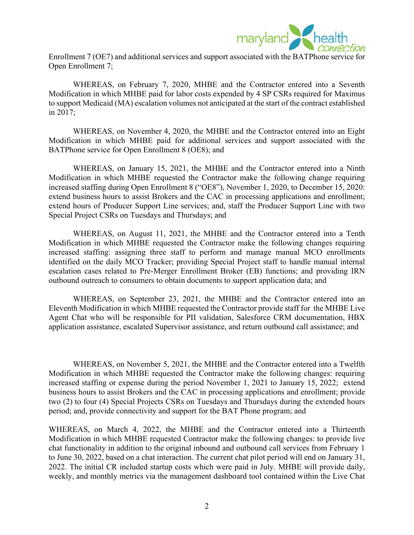

Enrollment 7 (OE7) and additional services and support associated with the BATPhone service for Open Enrollment 7;

WHEREAS, on February 7, 2020, MHBE and the Contractor entered into a Seventh Modification in which MHBE paid for labor costs expended by 4 SP CSRs required for Maximus to support Medicaid (MA) escalation volumes not anticipated at the start of the contract established in 2017;

WHEREAS, on November 4, 2020, the MHBE and the Contractor entered into an Eight Modification in which MHBE paid for additional services and support associated with the BATPhone service for Open Enrollment 8 (OE8); and

WHEREAS, on January 15, 2021, the MHBE and the Contractor entered into a Ninth Modification in which MHBE requested the Contractor make the following change requiring increased staffing during Open Enrollment 8 ("OE8"), November 1, 2020, to December 15, 2020: extend business hours to assist Brokers and the CAC in processing applications and enrollment; extend hours of Producer Support Line services; and, staff the Producer Support Line with two Special Project CSRs on Tuesdays and Thursdays; and

WHEREAS, on August 11, 2021, the MHBE and the Contractor entered into a Tenth Modification in which MHBE requested the Contractor make the following changes requiring increased staffing: assigning three staff to perform and manage manual MCO enrollments identified on the daily MCO Tracker; providing Special Project staff to handle manual internal escalation cases related to Pre-Merger Enrollment Broker (EB) functions; and providing IRN outbound outreach to consumers to obtain documents to support application data; and

WHEREAS, on September 23, 2021, the MHBE and the Contractor entered into an Eleventh Modification in which MHBE requested the Contractor provide staff for the MHBE Live Agent Chat who will be responsible for PII validation, Salesforce CRM documentation, HBX application assistance, escalated Supervisor assistance, and return outbound call assistance; and

WHEREAS, on November 5, 2021, the MHBE and the Contractor entered into a Twelfth Modification in which MHBE requested the Contractor make the following changes: requiring increased staffing or expense during the period November 1, 2021 to January 15, 2022; extend business hours to assist Brokers and the CAC in processing applications and enrollment; provide two (2) to four (4) Special Projects CSRs on Tuesdays and Thursdays during the extended hours period; and, provide connectivity and support for the BAT Phone program; and

WHEREAS, on March 4, 2022, the MHBE and the Contractor entered into a Thirteenth Modification in which MHBE requested Contractor make the following changes: to provide live chat functionality in addition to the original inbound and outbound call services from February 1 to June 30, 2022, based on a chat interaction. The current chat pilot period will end on January 31, 2022. The initial CR included startup costs which were paid in July. MHBE will provide daily, weekly, and monthly metrics via the management dashboard tool contained within the Live Chat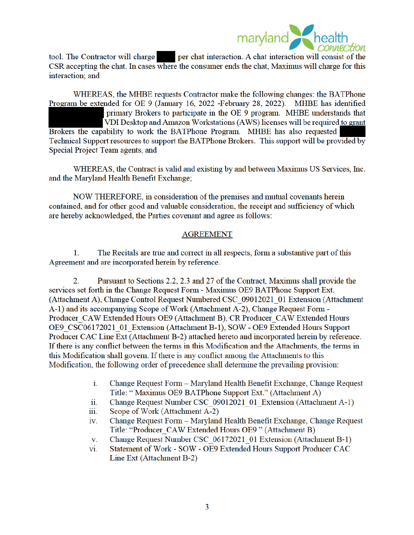

tool. The Contractor will charge **the period of the set of the set of the set of the set of the set of the set of the set of the set of the set of the set of the set of the set of the set of the set of the set of the set o** CSR accepting the chat. In cases where the consumer ends the chat, Maximus will charge for this interaction: and

WHEREAS, the MHBE requests Contractor make the following changes: the BATPhone Program be extended for OE 9 (January 16, 2022 -February 28, 2022). MHBE has identified primary Brokers to participate in the OE 9 program. MHBE understands that VDI Desktop and Amazon Workstations (AWS) licenses will be required to grant Brokers the capability to work the BATPhone Program. MHBE has also requested Technical Support resources to support the BATPhone Brokers. This support will be provided by Special Project Team agents, and

WHEREAS, the Contract is valid and existing by and between Maximus US Services, Inc. and the Maryland Health Benefit Exchange;

NOW THEREFORE, in consideration of the premises and mutual covenants herein contained, and for other good and valuable consideration, the receipt and sufficiency of which are hereby acknowledged, the Parties covenant and agree as follows:

## **AGREEMENT**

The Recitals are true and correct in all respects, form a substantive part of this 1. Agreement and are incorporated herein by reference.

 $\overline{2}$ . Pursuant to Sections 2.2, 2.3 and 27 of the Contract, Maximus shall provide the services set forth in the Change Request Form - Maximus OE9 BATPhone Support Ext. (Attachment A), Change Control Request Numbered CSC 09012021 01 Extension (Attachment A-1) and its accompanying Scope of Work (Attachment A-2), Change Request Form -Producer CAW Extended Hours OE9 (Attachment B), CR Producer CAW Extended Hours OE9 CSC06172021 01 Extension (Attachment B-1), SOW - OE9 Extended Hours Support Producer CAC Line Ext (Attachment B-2) attached hereto and incorporated herein by reference. If there is any conflict between the terms in this Modification and the Attachments, the terms in this Modification shall govern. If there is any conflict among the Attachments to this Modification, the following order of precedence shall determine the prevailing provision:

- i. Change Request Form - Maryland Health Benefit Exchange, Change Request Title: "Maximus OE9 BATPhone Support Ext." (Attachment A)
- Change Request Number CSC 09012021 01 Extension (Attachment A-1) ii.
- Scope of Work (Attachment A-2) iii.
- Change Request Form Maryland Health Benefit Exchange, Change Request iv. Title: "Producer CAW Extended Hours OE9" (Attachment B)
- Change Request Number CSC 06172021 01 Extension (Attachment B-1) V.
- Statement of Work SOW OE9 Extended Hours Support Producer CAC vi. Line Ext (Attachment B-2)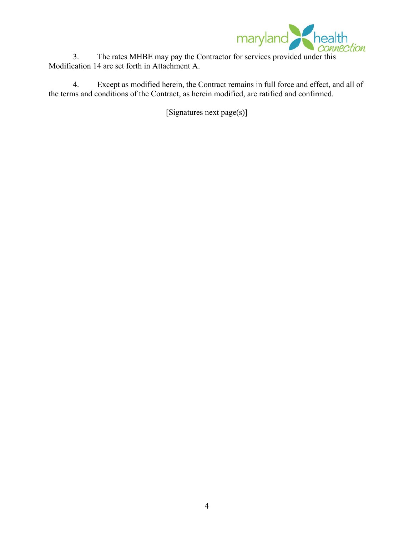

Modification 14 are set forth in Attachment A.

4. Except as modified herein, the Contract remains in full force and effect, and all of the terms and conditions of the Contract, as herein modified, are ratified and confirmed.

[Signatures next page(s)]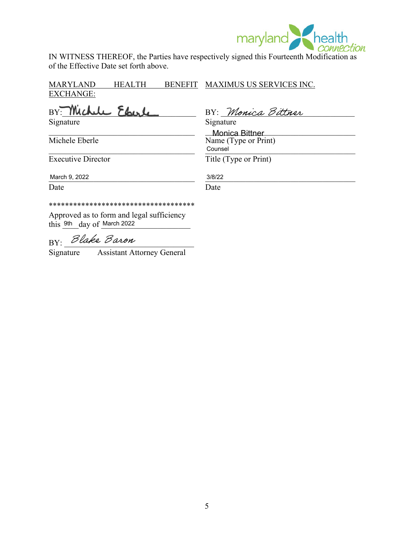

IN WITNESS THEREOF, the Parties have respectively signed this Fourteenth Modification as of the Effective Date set forth above.

MARYLAND HEALTH EXCHANGE: BENEFIT MAXIMUS US SERVICES INC.

BY: Michele Eberl Signature Signature Signature

BY: Monica Bittner

\_\_\_\_\_\_\_\_\_\_\_\_\_\_\_\_\_\_\_\_\_\_\_\_\_\_\_\_\_\_\_\_\_\_\_\_ \_\_\_\_\_\_\_\_\_\_\_\_\_\_\_\_\_\_\_\_\_\_\_\_\_\_\_\_\_\_\_\_\_\_\_\_\_ Monica Bittner Michele Eberle Name (Type or Print)  $\blacksquare$   $\blacksquare$   $\blacksquare$   $\blacksquare$   $\blacksquare$   $\blacksquare$   $\blacksquare$   $\blacksquare$   $\blacksquare$   $\blacksquare$   $\blacksquare$   $\blacksquare$   $\blacksquare$   $\blacksquare$   $\blacksquare$   $\blacksquare$   $\blacksquare$   $\blacksquare$   $\blacksquare$   $\blacksquare$   $\blacksquare$   $\blacksquare$   $\blacksquare$   $\blacksquare$   $\blacksquare$   $\blacksquare$   $\blacksquare$   $\blacksquare$   $\blacksquare$   $\blacksquare$   $\blacksquare$   $\blacks$ **Counsel** 

Executive Director Title (Type or Print)

\_\_\_\_\_\_\_\_\_\_\_\_\_\_\_\_\_\_\_\_\_\_\_\_\_\_\_\_\_\_\_\_\_\_\_\_ \_\_\_\_\_\_\_\_\_\_\_\_\_\_\_\_\_\_\_\_\_\_\_\_\_\_\_\_\_\_\_\_\_\_\_\_\_ March 9, 2022 3/8/22

Date Date Date

\*\*\*\*\*\*\*\*\*\*\*\*\*\*\*\*\*\*\*\*\*\*\*\*\*\*\*\*\*\*\*\*\*\*\*\*

Approved as to form and legal sufficiency this  $9th$  day of March 2022

BY: Blake Baron

Signature Assistant Attorney General